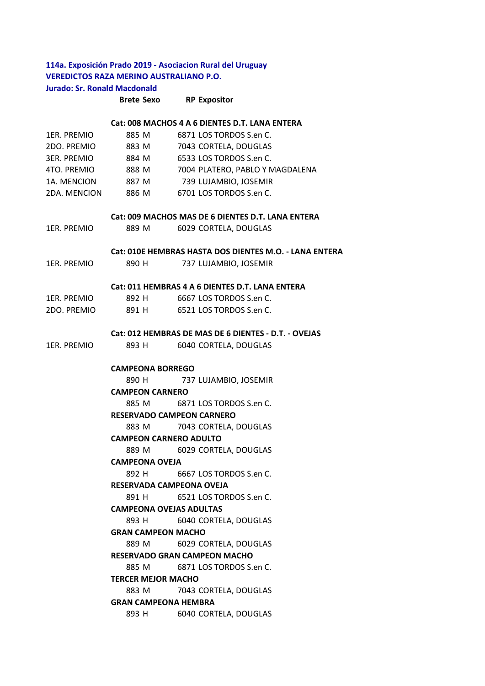# **114a. Exposición Prado 2019 ‐ Asociacion Rural del Uruguay VEREDICTOS RAZA MERINO AUSTRALIANO P.O. Jurado: Sr. Ronald Macdonald**

#### **Brete Sexo RP Expositor**

#### **Cat: 008 MACHOS 4 A 6 DIENTES D.T. LANA ENTERA**

| 1ER. PREMIO  | 885 M | 6871 LOS TORDOS S.en C.         |
|--------------|-------|---------------------------------|
| 2DO. PREMIO  | 883 M | 7043 CORTELA, DOUGLAS           |
| 3ER. PREMIO  | 884 M | 6533 LOS TORDOS S.en C.         |
| 4TO. PREMIO  | 888 M | 7004 PLATERO, PABLO Y MAGDALENA |
| 1A. MENCION  | 887 M | 739 LUJAMBIO, JOSEMIR           |
| 2DA. MENCION | 886 M | 6701 LOS TORDOS S.en C.         |

#### **Cat: 009 MACHOS MAS DE 6 DIENTES D.T. LANA ENTERA**

| 1ER. PREMIO | 889 M | 6029 CORTELA, DOUGLAS |
|-------------|-------|-----------------------|
|-------------|-------|-----------------------|

#### **Cat: 010E HEMBRAS HASTA DOS DIENTES M.O. ‐ LANA ENTERA**

1ER. PREMIO 890 H 737 LUJAMBIO, JOSEMIR

#### **Cat: 011 HEMBRAS 4 A 6 DIENTES D.T. LANA ENTERA**

| 1ER. PREMIO | 892 H | 6667 LOS TORDOS S.en C. |
|-------------|-------|-------------------------|
| 2DO. PREMIO | 891 H | 6521 LOS TORDOS S.en C. |

#### **Cat: 012 HEMBRAS DE MAS DE 6 DIENTES ‐ D.T. ‐ OVEJAS**

| 1ER. PREMIO | 893 H | 6040 CORTELA, DOUGLAS |
|-------------|-------|-----------------------|
|-------------|-------|-----------------------|

### **CAMPEONA BORREGO**

890 H 737 LUJAMBIO, JOSEMIR

#### **CAMPEON CARNERO**

885 M 6871 LOS TORDOS S.en C.

## **RESERVADO CAMPEON CARNERO**

883 M 7043 CORTELA, DOUGLAS

### **CAMPEON CARNERO ADULTO**

889 M 6029 CORTELA, DOUGLAS **CAMPEONA OVEJA** 

892 H 6667 LOS TORDOS S.en C.

### **RESERVADA CAMPEONA OVEJA**

891 H 6521 LOS TORDOS S.en C.

#### **CAMPEONA OVEJAS ADULTAS**

893 H 6040 CORTELA, DOUGLAS **GRAN CAMPEON MACHO** 

889 M 6029 CORTELA, DOUGLAS

### **RESERVADO GRAN CAMPEON MACHO**

885 M 6871 LOS TORDOS S.en C.

## **TERCER MEJOR MACHO**

883 M 7043 CORTELA, DOUGLAS **GRAN CAMPEONA HEMBRA** 

893 H 6040 CORTELA, DOUGLAS